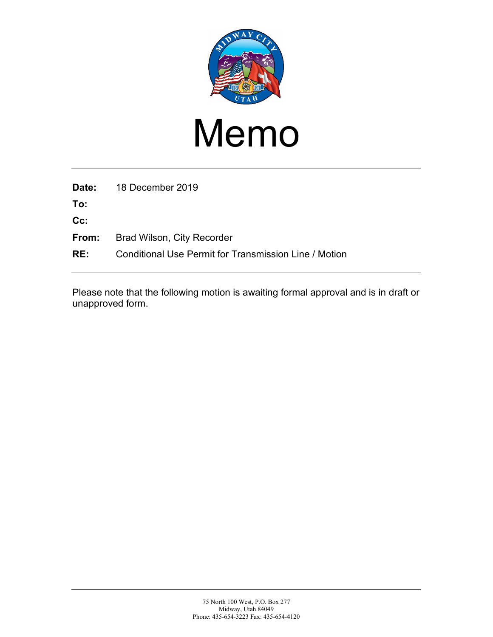

## Memo

**Date:** 18 December 2019

**To:**

**Cc:**

- **From:** Brad Wilson, City Recorder
- **RE:** Conditional Use Permit for Transmission Line / Motion

Please note that the following motion is awaiting formal approval and is in draft or unapproved form.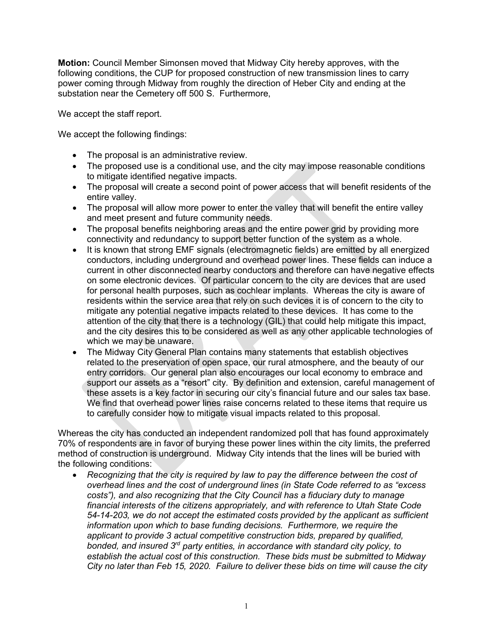**Motion:** Council Member Simonsen moved that Midway City hereby approves, with the following conditions, the CUP for proposed construction of new transmission lines to carry power coming through Midway from roughly the direction of Heber City and ending at the substation near the Cemetery off 500 S. Furthermore,

We accept the staff report.

We accept the following findings:

- The proposal is an administrative review.
- The proposed use is a conditional use, and the city may impose reasonable conditions to mitigate identified negative impacts.
- The proposal will create a second point of power access that will benefit residents of the entire valley.
- The proposal will allow more power to enter the valley that will benefit the entire valley and meet present and future community needs.
- The proposal benefits neighboring areas and the entire power grid by providing more connectivity and redundancy to support better function of the system as a whole.
- It is known that strong EMF signals (electromagnetic fields) are emitted by all energized conductors, including underground and overhead power lines. These fields can induce a current in other disconnected nearby conductors and therefore can have negative effects on some electronic devices. Of particular concern to the city are devices that are used for personal health purposes, such as cochlear implants. Whereas the city is aware of residents within the service area that rely on such devices it is of concern to the city to mitigate any potential negative impacts related to these devices. It has come to the attention of the city that there is a technology (GIL) that could help mitigate this impact, and the city desires this to be considered as well as any other applicable technologies of which we may be unaware.
- The Midway City General Plan contains many statements that establish objectives related to the preservation of open space, our rural atmosphere, and the beauty of our entry corridors. Our general plan also encourages our local economy to embrace and support our assets as a "resort" city. By definition and extension, careful management of these assets is a key factor in securing our city's financial future and our sales tax base. We find that overhead power lines raise concerns related to these items that require us to carefully consider how to mitigate visual impacts related to this proposal.

Whereas the city has conducted an independent randomized poll that has found approximately 70% of respondents are in favor of burying these power lines within the city limits, the preferred method of construction is underground. Midway City intends that the lines will be buried with the following conditions:

• *Recognizing that the city is required by law to pay the difference between the cost of overhead lines and the cost of underground lines (in State Code referred to as "excess costs"), and also recognizing that the City Council has a fiduciary duty to manage financial interests of the citizens appropriately, and with reference to Utah State Code 54-14-203, we do not accept the estimated costs provided by the applicant as sufficient information upon which to base funding decisions. Furthermore, we require the applicant to provide 3 actual competitive construction bids, prepared by qualified, bonded, and insured 3rd party entities, in accordance with standard city policy, to establish the actual cost of this construction. These bids must be submitted to Midway City no later than Feb 15, 2020. Failure to deliver these bids on time will cause the city*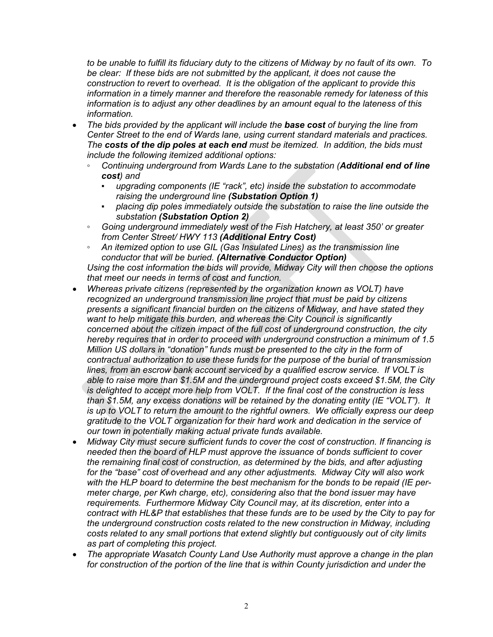*to be unable to fulfill its fiduciary duty to the citizens of Midway by no fault of its own. To be clear: If these bids are not submitted by the applicant, it does not cause the construction to revert to overhead. It is the obligation of the applicant to provide this information in a timely manner and therefore the reasonable remedy for lateness of this information is to adjust any other deadlines by an amount equal to the lateness of this information.*

- *The bids provided by the applicant will include the base cost of burying the line from Center Street to the end of Wards lane, using current standard materials and practices. The costs of the dip poles at each end must be itemized. In addition, the bids must include the following itemized additional options:*
	- *Continuing underground from Wards Lane to the substation (Additional end of line cost) and*
		- upgrading components (IE "rack", etc) inside the substation to accommodate *raising the underground line (Substation Option 1)*
		- *placing dip poles immediately outside the substation to raise the line outside the substation (Substation Option 2)*
	- *Going underground immediately west of the Fish Hatchery, at least 350' or greater from Center Street/ HWY 113 (Additional Entry Cost)*
	- *An itemized option to use GIL (Gas Insulated Lines) as the transmission line conductor that will be buried. (Alternative Conductor Option)*

*Using the cost information the bids will provide, Midway City will then choose the options that meet our needs in terms of cost and function.*

- *Whereas private citizens (represented by the organization known as VOLT) have recognized an underground transmission line project that must be paid by citizens presents a significant financial burden on the citizens of Midway, and have stated they want to help mitigate this burden, and whereas the City Council is significantly concerned about the citizen impact of the full cost of underground construction, the city hereby requires that in order to proceed with underground construction a minimum of 1.5 Million US dollars in "donation" funds must be presented to the city in the form of contractual authorization to use these funds for the purpose of the burial of transmission lines, from an escrow bank account serviced by a qualified escrow service. If VOLT is able to raise more than \$1.5M and the underground project costs exceed \$1.5M, the City is delighted to accept more help from VOLT. If the final cost of the construction is less than \$1.5M, any excess donations will be retained by the donating entity (IE "VOLT"). It is up to VOLT to return the amount to the rightful owners. We officially express our deep gratitude to the VOLT organization for their hard work and dedication in the service of our town in potentially making actual private funds available.*
- *Midway City must secure sufficient funds to cover the cost of construction. If financing is needed then the board of HLP must approve the issuance of bonds sufficient to cover the remaining final cost of construction, as determined by the bids, and after adjusting for the "base" cost of overhead and any other adjustments. Midway City will also work with the HLP board to determine the best mechanism for the bonds to be repaid (IE permeter charge, per Kwh charge, etc), considering also that the bond issuer may have requirements. Furthermore Midway City Council may, at its discretion, enter into a contract with HL&P that establishes that these funds are to be used by the City to pay for the underground construction costs related to the new construction in Midway, including costs related to any small portions that extend slightly but contiguously out of city limits as part of completing this project.*
- *The appropriate Wasatch County Land Use Authority must approve a change in the plan for construction of the portion of the line that is within County jurisdiction and under the*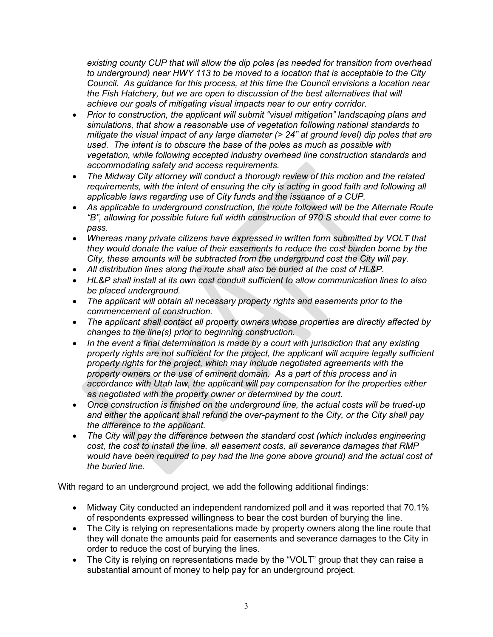*existing county CUP that will allow the dip poles (as needed for transition from overhead to underground) near HWY 113 to be moved to a location that is acceptable to the City Council. As guidance for this process, at this time the Council envisions a location near the Fish Hatchery, but we are open to discussion of the best alternatives that will achieve our goals of mitigating visual impacts near to our entry corridor.*

- *Prior to construction, the applicant will submit "visual mitigation" landscaping plans and simulations, that show a reasonable use of vegetation following national standards to mitigate the visual impact of any large diameter (> 24" at ground level) dip poles that are used. The intent is to obscure the base of the poles as much as possible with vegetation, while following accepted industry overhead line construction standards and accommodating safety and access requirements.*
- *The Midway City attorney will conduct a thorough review of this motion and the related requirements, with the intent of ensuring the city is acting in good faith and following all applicable laws regarding use of City funds and the issuance of a CUP.*
- *As applicable to underground construction, the route followed will be the Alternate Route "B", allowing for possible future full width construction of 970 S should that ever come to pass.*
- *Whereas many private citizens have expressed in written form submitted by VOLT that they would donate the value of their easements to reduce the cost burden borne by the City, these amounts will be subtracted from the underground cost the City will pay.*
- *All distribution lines along the route shall also be buried at the cost of HL&P.*
- *HL&P shall install at its own cost conduit sufficient to allow communication lines to also be placed underground.*
- *The applicant will obtain all necessary property rights and easements prior to the commencement of construction.*
- *The applicant shall contact all property owners whose properties are directly affected by changes to the line(s) prior to beginning construction.*
- *In the event a final determination is made by a court with jurisdiction that any existing property rights are not sufficient for the project, the applicant will acquire legally sufficient property rights for the project, which may include negotiated agreements with the property owners or the use of eminent domain. As a part of this process and in accordance with Utah law, the applicant will pay compensation for the properties either as negotiated with the property owner or determined by the court.*
- *Once construction is finished on the underground line, the actual costs will be trued-up and either the applicant shall refund the over-payment to the City, or the City shall pay the difference to the applicant.*
- *The City will pay the difference between the standard cost (which includes engineering cost, the cost to install the line, all easement costs, all severance damages that RMP would have been required to pay had the line gone above ground) and the actual cost of the buried line.*

With regard to an underground project, we add the following additional findings:

- Midway City conducted an independent randomized poll and it was reported that 70.1% of respondents expressed willingness to bear the cost burden of burying the line.
- The City is relying on representations made by property owners along the line route that they will donate the amounts paid for easements and severance damages to the City in order to reduce the cost of burying the lines.
- The City is relying on representations made by the "VOLT" group that they can raise a substantial amount of money to help pay for an underground project.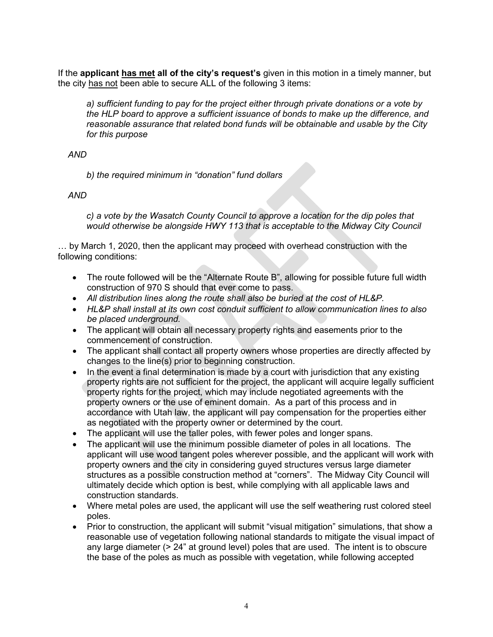If the **applicant has met all of the city's request's** given in this motion in a timely manner, but the city has not been able to secure ALL of the following 3 items:

*a) sufficient funding to pay for the project either through private donations or a vote by the HLP board to approve a sufficient issuance of bonds to make up the difference, and reasonable assurance that related bond funds will be obtainable and usable by the City for this purpose*

 *AND*

*b) the required minimum in "donation" fund dollars*

 *AND*

*c) a vote by the Wasatch County Council to approve a location for the dip poles that would otherwise be alongside HWY 113 that is acceptable to the Midway City Council*

… by March 1, 2020, then the applicant may proceed with overhead construction with the following conditions:

- The route followed will be the "Alternate Route B", allowing for possible future full width construction of 970 S should that ever come to pass.
- *All distribution lines along the route shall also be buried at the cost of HL&P.*
- *HL&P shall install at its own cost conduit sufficient to allow communication lines to also be placed underground.*
- The applicant will obtain all necessary property rights and easements prior to the commencement of construction.
- The applicant shall contact all property owners whose properties are directly affected by changes to the line(s) prior to beginning construction.
- In the event a final determination is made by a court with jurisdiction that any existing property rights are not sufficient for the project, the applicant will acquire legally sufficient property rights for the project, which may include negotiated agreements with the property owners or the use of eminent domain. As a part of this process and in accordance with Utah law, the applicant will pay compensation for the properties either as negotiated with the property owner or determined by the court.
- The applicant will use the taller poles, with fewer poles and longer spans.
- The applicant will use the minimum possible diameter of poles in all locations. The applicant will use wood tangent poles wherever possible, and the applicant will work with property owners and the city in considering guyed structures versus large diameter structures as a possible construction method at "corners". The Midway City Council will ultimately decide which option is best, while complying with all applicable laws and construction standards.
- Where metal poles are used, the applicant will use the self weathering rust colored steel poles.
- Prior to construction, the applicant will submit "visual mitigation" simulations, that show a reasonable use of vegetation following national standards to mitigate the visual impact of any large diameter  $(> 24$ " at ground level) poles that are used. The intent is to obscure the base of the poles as much as possible with vegetation, while following accepted